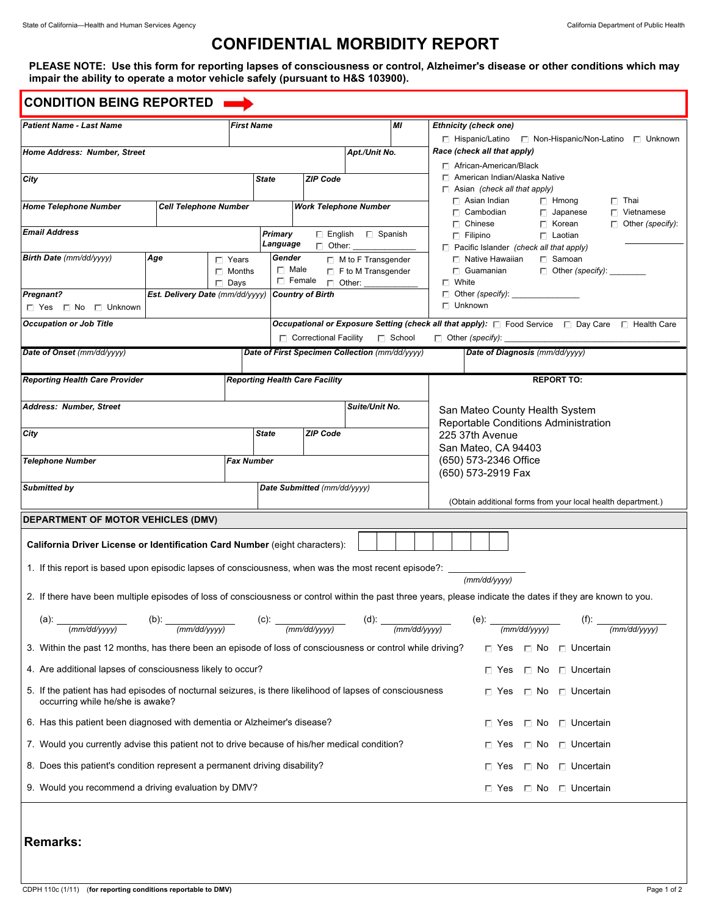# **CONFIDENTIAL MORBIDITY REPORT**

**PLEASE NOTE: Use this form for reporting lapses of consciousness or control, Alzheimer's disease or other conditions which may impair the ability to operate a motor vehicle safely (pursuant to H&S 103900).**

| <b>First Name</b><br><b>Patient Name - Last Name</b>                                                                                                                                              |                                                           |                                               |                     |                                                |                                                                                                                            | MI                                            | <b>Ethnicity (check one)</b><br>$\Box$ Hispanic/Latino $\Box$ Non-Hispanic/Non-Latino $\Box$ Unknown                                                         |  |  |  |
|---------------------------------------------------------------------------------------------------------------------------------------------------------------------------------------------------|-----------------------------------------------------------|-----------------------------------------------|---------------------|------------------------------------------------|----------------------------------------------------------------------------------------------------------------------------|-----------------------------------------------|--------------------------------------------------------------------------------------------------------------------------------------------------------------|--|--|--|
| Home Address: Number, Street                                                                                                                                                                      |                                                           |                                               |                     |                                                | Apt./Unit No.                                                                                                              |                                               | Race (check all that apply)                                                                                                                                  |  |  |  |
|                                                                                                                                                                                                   |                                                           |                                               |                     |                                                |                                                                                                                            |                                               | $\Box$ African-American/Black                                                                                                                                |  |  |  |
| City                                                                                                                                                                                              | <b>State</b>                                              | <b>ZIP Code</b>                               |                     |                                                | $\Box$ American Indian/Alaska Native<br>$\Box$ Asian (check all that apply)                                                |                                               |                                                                                                                                                              |  |  |  |
| <b>Home Telephone Number</b><br><b>Cell Telephone Number</b>                                                                                                                                      |                                                           |                                               |                     | <b>Work Telephone Number</b>                   |                                                                                                                            |                                               | $\Box$ Asian Indian<br>$\Box$ Hmong<br>$\Gamma$ Thai                                                                                                         |  |  |  |
|                                                                                                                                                                                                   |                                                           |                                               |                     |                                                | $\Gamma$ Cambodian<br>$\Box$ Vietnamese<br>$\Box$ Japanese<br>$\Box$ Chinese<br>$\Gamma$ Korean<br>$\Box$ Other (specify): |                                               |                                                                                                                                                              |  |  |  |
| <b>Email Address</b>                                                                                                                                                                              |                                                           |                                               | Primary<br>Language | $\Box$ Other:                                  | $\Box$ English $\Box$ Spanish                                                                                              |                                               | $\Box$ Filipino<br>$\Gamma$ Laotian                                                                                                                          |  |  |  |
| Birth Date (mm/dd/yyyy)<br>Age<br>$\Gamma$ Years                                                                                                                                                  |                                                           |                                               | Gender              |                                                | $\Box$ M to F Transgender                                                                                                  |                                               | $\Box$ Pacific Islander (check all that apply)<br>$\Box$ Native Hawaiian<br>$\Gamma$ Samoan                                                                  |  |  |  |
|                                                                                                                                                                                                   | $\Box$ Male<br>$\Box$ Months<br>$\Box$ F to M Transgender |                                               |                     |                                                |                                                                                                                            |                                               | $\Box$ Guamanian<br>$\Box$ Other (specify): ______                                                                                                           |  |  |  |
| $\Box$ Days<br>Est. Delivery Date (mm/dd/yyyy)<br><b>Pregnant?</b>                                                                                                                                |                                                           |                                               |                     | $\Box$ Female<br><b>Country of Birth</b>       | $\Box$ Other:                                                                                                              |                                               | $\Box$ White<br>$\Box$ Other (specify): $\Box$                                                                                                               |  |  |  |
| □ Yes □ No □ Unknown                                                                                                                                                                              |                                                           |                                               |                     |                                                | $\Box$ Unknown                                                                                                             |                                               |                                                                                                                                                              |  |  |  |
| <b>Occupation or Job Title</b>                                                                                                                                                                    |                                                           |                                               |                     |                                                |                                                                                                                            |                                               | Occupational or Exposure Setting (check all that apply): $\Box$ Food Service $\Box$ Day Care $\Box$ Health Care                                              |  |  |  |
|                                                                                                                                                                                                   |                                                           |                                               |                     | $\Box$ Correctional Facility                   |                                                                                                                            | <b>□</b> School                               | $\Box$ Other (specify):                                                                                                                                      |  |  |  |
| Date of Onset (mm/dd/yyyy)                                                                                                                                                                        |                                                           |                                               |                     | Date of First Specimen Collection (mm/dd/yyyy) |                                                                                                                            |                                               | Date of Diagnosis (mm/dd/yyyy)                                                                                                                               |  |  |  |
| <b>Reporting Health Care Provider</b>                                                                                                                                                             |                                                           |                                               |                     | <b>Reporting Health Care Facility</b>          |                                                                                                                            |                                               | <b>REPORT TO:</b>                                                                                                                                            |  |  |  |
|                                                                                                                                                                                                   |                                                           |                                               |                     |                                                |                                                                                                                            |                                               |                                                                                                                                                              |  |  |  |
| Address: Number, Street                                                                                                                                                                           |                                                           |                                               |                     |                                                | Suite/Unit No.                                                                                                             |                                               | San Mateo County Health System                                                                                                                               |  |  |  |
| City                                                                                                                                                                                              |                                                           |                                               | <b>State</b>        | <b>ZIP Code</b>                                |                                                                                                                            |                                               | Reportable Conditions Administration<br>225 37th Avenue                                                                                                      |  |  |  |
|                                                                                                                                                                                                   |                                                           |                                               |                     |                                                |                                                                                                                            |                                               | San Mateo, CA 94403                                                                                                                                          |  |  |  |
| <b>Telephone Number</b>                                                                                                                                                                           |                                                           | <b>Fax Number</b>                             |                     |                                                |                                                                                                                            |                                               | (650) 573-2346 Office                                                                                                                                        |  |  |  |
|                                                                                                                                                                                                   |                                                           |                                               |                     | Date Submitted (mm/dd/yyyy)                    |                                                                                                                            |                                               | (650) 573-2919 Fax                                                                                                                                           |  |  |  |
| <b>Submitted by</b>                                                                                                                                                                               |                                                           |                                               |                     |                                                |                                                                                                                            |                                               | (Obtain additional forms from your local health department.)                                                                                                 |  |  |  |
| DEPARTMENT OF MOTOR VEHICLES (DMV)                                                                                                                                                                |                                                           |                                               |                     |                                                |                                                                                                                            |                                               |                                                                                                                                                              |  |  |  |
| California Driver License or Identification Card Number (eight characters):                                                                                                                       |                                                           |                                               |                     |                                                |                                                                                                                            |                                               |                                                                                                                                                              |  |  |  |
|                                                                                                                                                                                                   |                                                           |                                               |                     |                                                |                                                                                                                            |                                               |                                                                                                                                                              |  |  |  |
| 1. If this report is based upon episodic lapses of consciousness, when was the most recent episode?: ________                                                                                     |                                                           |                                               |                     |                                                |                                                                                                                            |                                               | (mm/dd/vvvv)                                                                                                                                                 |  |  |  |
|                                                                                                                                                                                                   |                                                           |                                               |                     |                                                |                                                                                                                            |                                               | 2. If there have been multiple episodes of loss of consciousness or control within the past three years, please indicate the dates if they are known to you. |  |  |  |
|                                                                                                                                                                                                   |                                                           |                                               |                     |                                                |                                                                                                                            |                                               |                                                                                                                                                              |  |  |  |
| (d): $\frac{1}{2}$<br>(a):<br>(b):<br>(e): $\frac{1 + 1 + 1 + 2 + 2 + 3 + 2 + 1}{2}$<br>$(f)$ : _<br>(mm/dd/yyyy)<br>(mm/dd/yyyy)<br>(mm/dd/yyyy)<br>(mm/dd/yyyy)<br>(mm/dd/yyyy)<br>(mm/dd/yyyy) |                                                           |                                               |                     |                                                |                                                                                                                            |                                               |                                                                                                                                                              |  |  |  |
| 3. Within the past 12 months, has there been an episode of loss of consciousness or control while driving?<br>$\Box$ Yes $\Box$ No $\Box$ Uncertain                                               |                                                           |                                               |                     |                                                |                                                                                                                            |                                               |                                                                                                                                                              |  |  |  |
| 4. Are additional lapses of consciousness likely to occur?<br>□ Uncertain<br>$\Gamma$ Yes<br>□ No                                                                                                 |                                                           |                                               |                     |                                                |                                                                                                                            |                                               |                                                                                                                                                              |  |  |  |
| 5. If the patient has had episodes of nocturnal seizures, is there likelihood of lapses of consciousness<br>occurring while he/she is awake?                                                      |                                                           |                                               |                     |                                                |                                                                                                                            | □ No □ Uncertain<br>$\Box$ Yes                |                                                                                                                                                              |  |  |  |
| 6. Has this patient been diagnosed with dementia or Alzheimer's disease?                                                                                                                          |                                                           | $\Box$ No<br>□ Uncertain<br>$\Gamma$ Yes      |                     |                                                |                                                                                                                            |                                               |                                                                                                                                                              |  |  |  |
| 7. Would you currently advise this patient not to drive because of his/her medical condition?                                                                                                     |                                                           | $\Box$ Uncertain<br>$\Gamma$ Yes<br>$\Box$ No |                     |                                                |                                                                                                                            |                                               |                                                                                                                                                              |  |  |  |
| 8. Does this patient's condition represent a permanent driving disability?                                                                                                                        |                                                           |                                               |                     |                                                |                                                                                                                            | $\Box$ Uncertain<br>$\Gamma$ Yes<br>$\Box$ No |                                                                                                                                                              |  |  |  |
| 9. Would you recommend a driving evaluation by DMV?                                                                                                                                               |                                                           |                                               |                     |                                                | □ No □ Uncertain<br>$\sqcap$ Yes                                                                                           |                                               |                                                                                                                                                              |  |  |  |
|                                                                                                                                                                                                   |                                                           |                                               |                     |                                                |                                                                                                                            |                                               |                                                                                                                                                              |  |  |  |
|                                                                                                                                                                                                   |                                                           |                                               |                     |                                                |                                                                                                                            |                                               |                                                                                                                                                              |  |  |  |
| <b>Remarks:</b>                                                                                                                                                                                   |                                                           |                                               |                     |                                                |                                                                                                                            |                                               |                                                                                                                                                              |  |  |  |